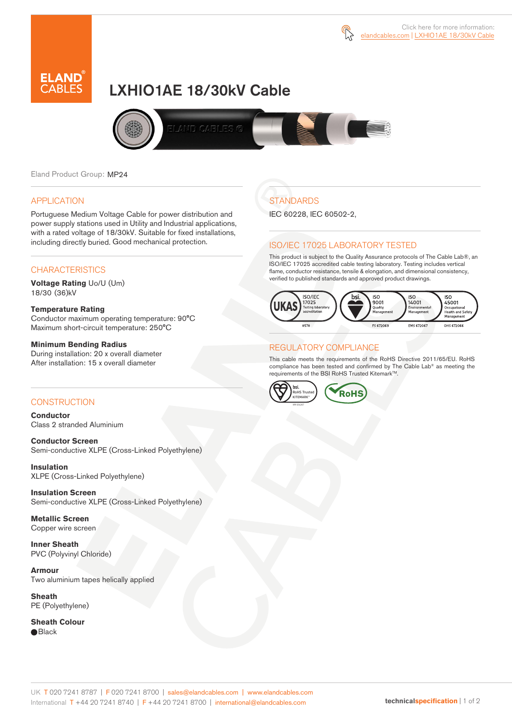



# LXHIO1AE 18/30kV Cable



Eland Product Group: MP24

### APPLICATION

Portuguese Medium Voltage Cable for power distribution and power supply stations used in Utility and Industrial applications, with a rated voltage of 18/30kV. Suitable for fixed installations, including directly buried. Good mechanical protection.

### **CHARACTERISTICS**

**Voltage Rating** Uo/U (Um) 18/30 (36)kV

### **Temperature Rating**

Conductor maximum operating temperature: 90°C Maximum short-circuit temperature: 250°C

#### **Minimum Bending Radius**

During installation: 20 x overall diameter After installation: 15 x overall diameter

### **CONSTRUCTION**

**Conductor**  Class 2 stranded Aluminium

**Conductor Screen** Semi-conductive XLPE (Cross-Linked Polyethylene)

**Insulation** XLPE (Cross-Linked Polyethylene)

**Insulation Screen** Semi-conductive XLPE (Cross-Linked Polyethylene)

**Metallic Screen**  Copper wire screen

**Inner Sheath** PVC (Polyvinyl Chloride)

**Armour** Two aluminium tapes helically applied

**Sheath** PE (Polyethylene)

**Sheath Colour**  ● Black

## **STANDARDS**

IEC 60228, IEC 60502-2,

### ISO/IEC 17025 LABORATORY TESTED

This product is subject to the Quality Assurance protocols of The Cable Lab®, an ISO/IEC 17025 accredited cable testing laboratory. Testing includes vertical flame, conductor resistance, tensile & elongation, and dimensional consistency, verified to published standards and approved product drawings.



### REGULATORY COMPLIANCE

This cable meets the requirements of the RoHS Directive 2011/65/EU. RoHS compliance has been tested and confirmed by The Cable Lab® as meeting the requirements of the BSI RoHS Trusted Kitemark™.